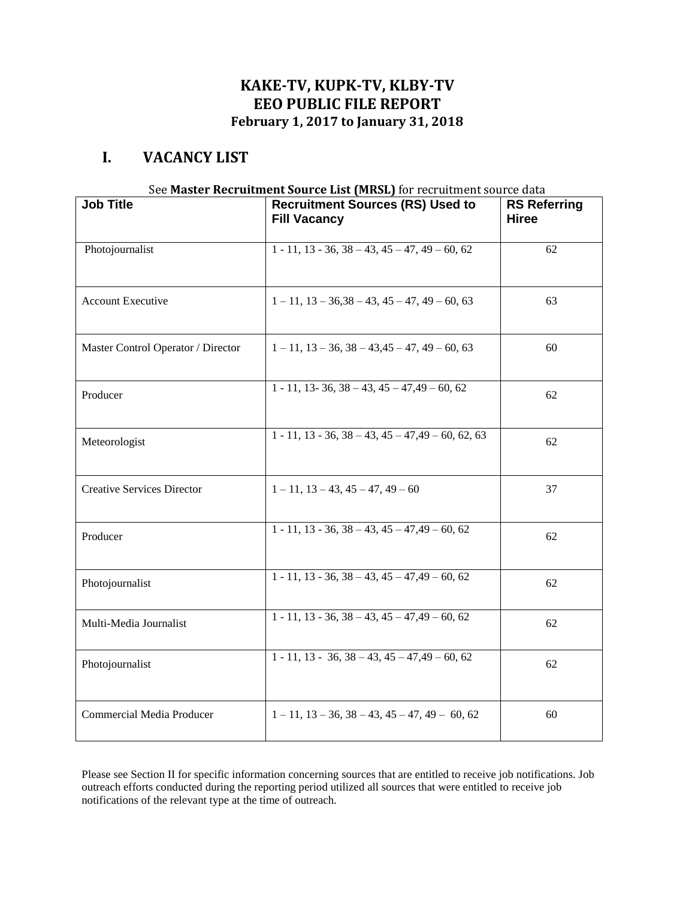#### **I. VACANCY LIST**

| See Master Recruitment Source List (MRSL) for recruitment source data |                                                                        |                                     |  |
|-----------------------------------------------------------------------|------------------------------------------------------------------------|-------------------------------------|--|
| <b>Job Title</b>                                                      | <b>Recruitment Sources (RS) Used to</b><br><b>Fill Vacancy</b>         | <b>RS Referring</b><br><b>Hiree</b> |  |
| Photojournalist                                                       | $1 - 11$ , 13 - 36, 38 - 43, 45 - 47, 49 - 60, 62                      | 62                                  |  |
| <b>Account Executive</b>                                              | $1 - 11$ , $13 - 36,38 - 43$ , $45 - 47$ , $49 - 60$ , 63              | 63                                  |  |
| Master Control Operator / Director                                    | $1 - 11$ , $13 - 36$ , $38 - 43$ , $45 - 47$ , $49 - 60$ , 63          | 60                                  |  |
| Producer                                                              | $1 - 11$ , 13 - 36, 38 - 43, 45 - 47, 49 - 60, 62                      | 62                                  |  |
| Meteorologist                                                         | $1 - 11$ , $13 - 36$ , $38 - 43$ , $45 - 47$ , $49 - 60$ , $62$ , $63$ | 62                                  |  |
| <b>Creative Services Director</b>                                     | $1 - 11$ , $13 - 43$ , $45 - 47$ , $49 - 60$                           | 37                                  |  |
| Producer                                                              | $1 - 11$ , 13 - 36, 38 - 43, 45 - 47, 49 - 60, 62                      | 62                                  |  |
| Photojournalist                                                       | $1 - 11$ , 13 - 36, 38 - 43, 45 - 47, 49 - 60, 62                      | 62                                  |  |
| Multi-Media Journalist                                                | $1 - 11$ , 13 - 36, 38 - 43, 45 - 47, 49 - 60, 62                      | 62                                  |  |
| Photojournalist                                                       | $1 - 11$ , 13 - 36, 38 - 43, 45 - 47, 49 - 60, 62                      | 62                                  |  |
| Commercial Media Producer                                             | $1 - 11$ , $13 - 36$ , $38 - 43$ , $45 - 47$ , $49 - 60$ , 62          | 60                                  |  |

# See **Master Recruitment Source List (MRSL)** for recruitment source data

Please see Section II for specific information concerning sources that are entitled to receive job notifications. Job outreach efforts conducted during the reporting period utilized all sources that were entitled to receive job notifications of the relevant type at the time of outreach.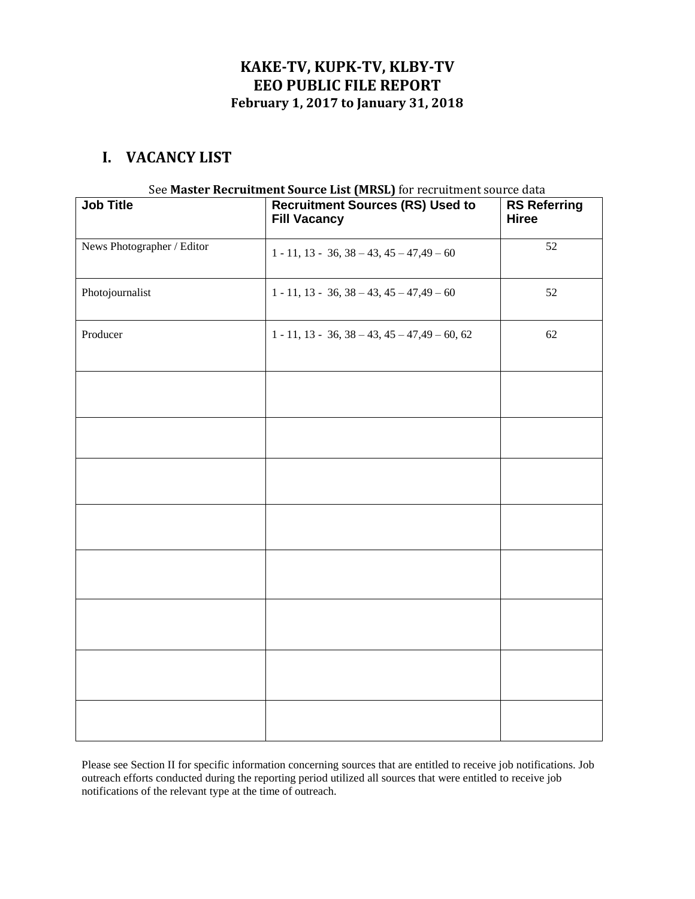#### **I. VACANCY LIST**

| <b>Job Title</b>           | <b>Recruitment Sources (RS) Used to</b><br><b>Fill Vacancy</b> | <b>RS Referring</b><br><b>Hiree</b> |
|----------------------------|----------------------------------------------------------------|-------------------------------------|
| News Photographer / Editor | $1 - 11$ , 13 - 36, 38 - 43, 45 - 47, 49 - 60                  | $\overline{52}$                     |
| Photojournalist            | $1 - 11$ , 13 - 36, 38 - 43, 45 - 47, 49 - 60                  | 52                                  |
| Producer                   | $1 - 11$ , 13 - 36, 38 - 43, 45 - 47, 49 - 60, 62              | 62                                  |
|                            |                                                                |                                     |
|                            |                                                                |                                     |
|                            |                                                                |                                     |
|                            |                                                                |                                     |
|                            |                                                                |                                     |
|                            |                                                                |                                     |
|                            |                                                                |                                     |
|                            |                                                                |                                     |

#### See **Master Recruitment Source List (MRSL)** for recruitment source data

Please see Section II for specific information concerning sources that are entitled to receive job notifications. Job outreach efforts conducted during the reporting period utilized all sources that were entitled to receive job notifications of the relevant type at the time of outreach.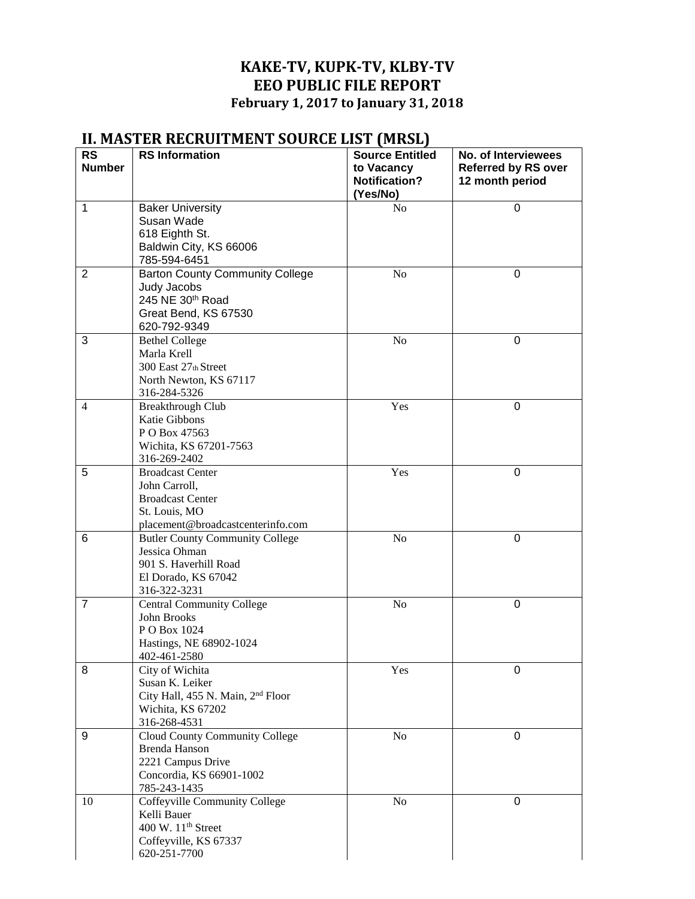## **II. MASTER RECRUITMENT SOURCE LIST (MRSL)**

| <b>RS</b>      | <b>RS</b> Information                                 | <b>Source Entitled</b>                         | No. of Interviewees                           |
|----------------|-------------------------------------------------------|------------------------------------------------|-----------------------------------------------|
| <b>Number</b>  |                                                       | to Vacancy<br><b>Notification?</b><br>(Yes/No) | <b>Referred by RS over</b><br>12 month period |
| $\mathbf{1}$   | <b>Baker University</b>                               | N <sub>o</sub>                                 | $\Omega$                                      |
|                | Susan Wade                                            |                                                |                                               |
|                | 618 Eighth St.                                        |                                                |                                               |
|                | Baldwin City, KS 66006                                |                                                |                                               |
| $\overline{2}$ | 785-594-6451                                          | N <sub>o</sub>                                 | $\mathbf 0$                                   |
|                | <b>Barton County Community College</b><br>Judy Jacobs |                                                |                                               |
|                | 245 NE 30th Road                                      |                                                |                                               |
|                | Great Bend, KS 67530                                  |                                                |                                               |
|                | 620-792-9349                                          |                                                |                                               |
| 3              | <b>Bethel College</b>                                 | N <sub>o</sub>                                 | $\Omega$                                      |
|                | Marla Krell                                           |                                                |                                               |
|                | 300 East 27th Street                                  |                                                |                                               |
|                | North Newton, KS 67117                                |                                                |                                               |
|                | 316-284-5326                                          |                                                |                                               |
| 4              | <b>Breakthrough Club</b>                              | Yes                                            | 0                                             |
|                | Katie Gibbons                                         |                                                |                                               |
|                | PO Box 47563                                          |                                                |                                               |
|                | Wichita, KS 67201-7563                                |                                                |                                               |
| 5              | 316-269-2402<br><b>Broadcast Center</b>               | Yes                                            | $\mathbf 0$                                   |
|                | John Carroll,                                         |                                                |                                               |
|                | <b>Broadcast Center</b>                               |                                                |                                               |
|                | St. Louis, MO                                         |                                                |                                               |
|                | placement@broadcastcenterinfo.com                     |                                                |                                               |
| 6              | <b>Butler County Community College</b>                | N <sub>o</sub>                                 | $\mathbf 0$                                   |
|                | Jessica Ohman                                         |                                                |                                               |
|                | 901 S. Haverhill Road                                 |                                                |                                               |
|                | El Dorado, KS 67042                                   |                                                |                                               |
|                | 316-322-3231                                          |                                                |                                               |
| $\overline{7}$ | <b>Central Community College</b>                      | N <sub>o</sub>                                 | $\pmb{0}$                                     |
|                | John Brooks<br>P O Box 1024                           |                                                |                                               |
|                | Hastings, NE 68902-1024                               |                                                |                                               |
|                | 402-461-2580                                          |                                                |                                               |
| 8              | City of Wichita                                       | Yes                                            | 0                                             |
|                | Susan K. Leiker                                       |                                                |                                               |
|                | City Hall, 455 N. Main, 2 <sup>nd</sup> Floor         |                                                |                                               |
|                | Wichita, KS 67202                                     |                                                |                                               |
|                | 316-268-4531                                          |                                                |                                               |
| 9              | Cloud County Community College                        | N <sub>o</sub>                                 | $\mathbf 0$                                   |
|                | Brenda Hanson                                         |                                                |                                               |
|                | 2221 Campus Drive                                     |                                                |                                               |
|                | Concordia, KS 66901-1002                              |                                                |                                               |
|                | 785-243-1435                                          |                                                |                                               |
| 10             | Coffeyville Community College<br>Kelli Bauer          | N <sub>o</sub>                                 | 0                                             |
|                | 400 W. 11 <sup>th</sup> Street                        |                                                |                                               |
|                | Coffeyville, KS 67337                                 |                                                |                                               |
|                | 620-251-7700                                          |                                                |                                               |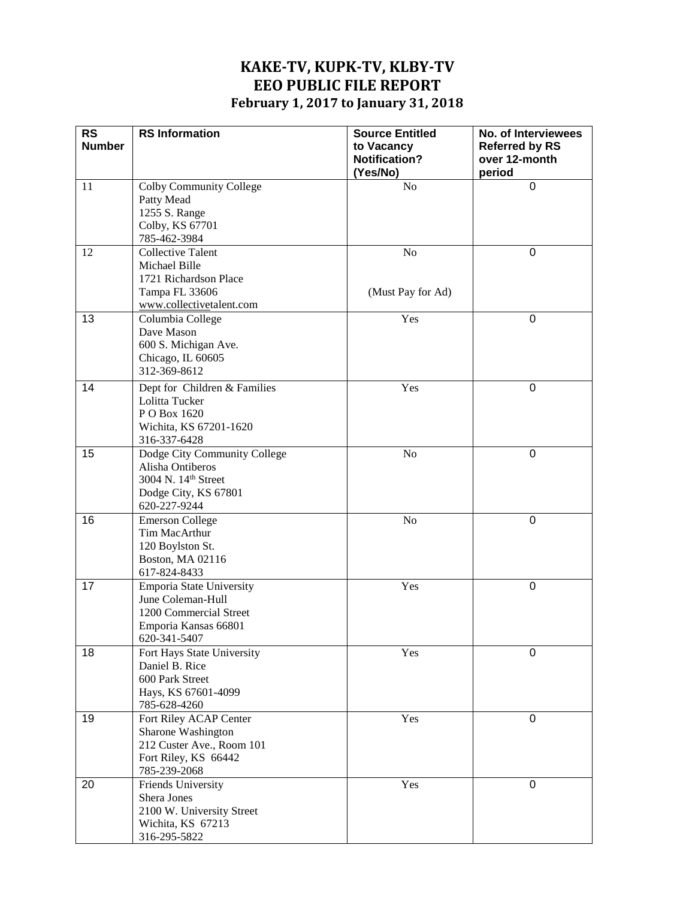| <b>RS</b>     | <b>RS</b> Information                        | <b>Source Entitled</b>             | No. of Interviewees                    |
|---------------|----------------------------------------------|------------------------------------|----------------------------------------|
| <b>Number</b> |                                              | to Vacancy<br><b>Notification?</b> | <b>Referred by RS</b><br>over 12-month |
|               |                                              | (Yes/No)                           | period                                 |
| 11            | Colby Community College                      | N <sub>o</sub>                     | $\mathbf 0$                            |
|               | Patty Mead                                   |                                    |                                        |
|               | 1255 S. Range                                |                                    |                                        |
|               | Colby, KS 67701                              |                                    |                                        |
|               | 785-462-3984                                 |                                    |                                        |
| 12            | <b>Collective Talent</b>                     | No                                 | 0                                      |
|               | Michael Bille                                |                                    |                                        |
|               | 1721 Richardson Place                        |                                    |                                        |
|               | Tampa FL 33606                               | (Must Pay for Ad)                  |                                        |
|               | www.collectivetalent.com                     |                                    |                                        |
| 13            | Columbia College                             | Yes                                | $\mathbf 0$                            |
|               | Dave Mason                                   |                                    |                                        |
|               | 600 S. Michigan Ave.                         |                                    |                                        |
|               | Chicago, IL 60605                            |                                    |                                        |
|               | 312-369-8612                                 |                                    |                                        |
| 14            | Dept for Children & Families                 | Yes                                | $\mathbf 0$                            |
|               | Lolitta Tucker                               |                                    |                                        |
|               | PO Box 1620                                  |                                    |                                        |
|               | Wichita, KS 67201-1620                       |                                    |                                        |
| 15            | 316-337-6428<br>Dodge City Community College | N <sub>o</sub>                     | $\boldsymbol{0}$                       |
|               | Alisha Ontiberos                             |                                    |                                        |
|               | 3004 N. 14th Street                          |                                    |                                        |
|               | Dodge City, KS 67801                         |                                    |                                        |
|               | 620-227-9244                                 |                                    |                                        |
| 16            | <b>Emerson College</b>                       | No                                 | $\boldsymbol{0}$                       |
|               | Tim MacArthur                                |                                    |                                        |
|               | 120 Boylston St.                             |                                    |                                        |
|               | Boston, MA 02116                             |                                    |                                        |
|               | 617-824-8433                                 |                                    |                                        |
| 17            | Emporia State University                     | Yes                                | $\boldsymbol{0}$                       |
|               | June Coleman-Hull                            |                                    |                                        |
|               | 1200 Commercial Street                       |                                    |                                        |
|               | Emporia Kansas 66801<br>620-341-5407         |                                    |                                        |
| 18            |                                              | Yes                                | $\mathbf 0$                            |
|               | Fort Hays State University<br>Daniel B. Rice |                                    |                                        |
|               | 600 Park Street                              |                                    |                                        |
|               | Hays, KS 67601-4099                          |                                    |                                        |
|               | 785-628-4260                                 |                                    |                                        |
| 19            | Fort Riley ACAP Center                       | Yes                                | 0                                      |
|               | Sharone Washington                           |                                    |                                        |
|               | 212 Custer Ave., Room 101                    |                                    |                                        |
|               | Fort Riley, KS 66442                         |                                    |                                        |
|               | 785-239-2068                                 |                                    |                                        |
| 20            | Friends University                           | Yes                                | $\mathbf 0$                            |
|               | Shera Jones                                  |                                    |                                        |
|               | 2100 W. University Street                    |                                    |                                        |
|               | Wichita, KS 67213                            |                                    |                                        |
|               | 316-295-5822                                 |                                    |                                        |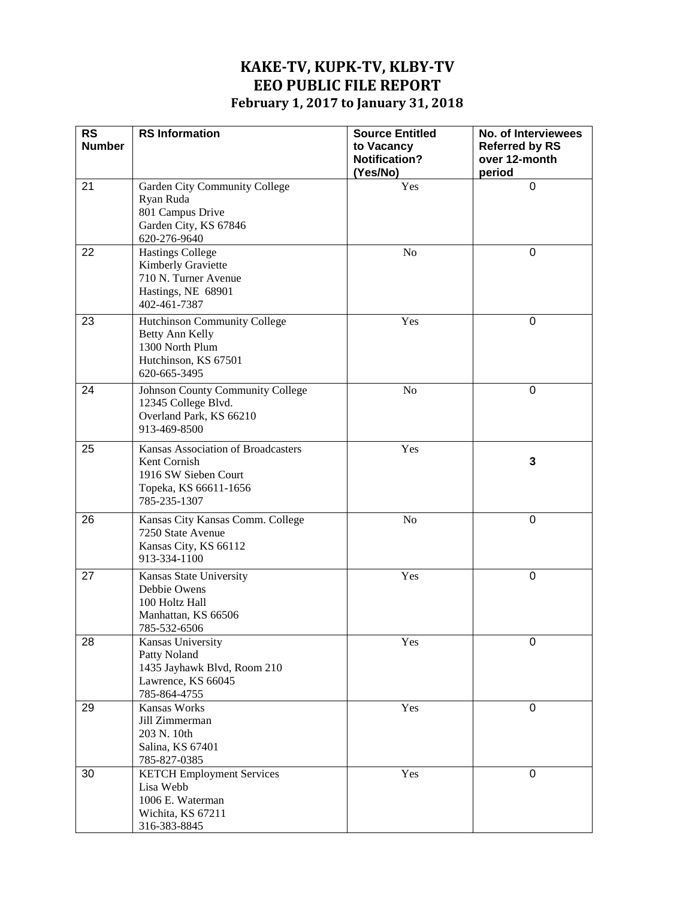| <b>RS</b><br><b>Number</b> | <b>RS</b> Information                                                                                               | <b>Source Entitled</b><br>to Vacancy | No. of Interviewees<br><b>Referred by RS</b> |
|----------------------------|---------------------------------------------------------------------------------------------------------------------|--------------------------------------|----------------------------------------------|
|                            |                                                                                                                     | <b>Notification?</b><br>(Yes/No)     | over 12-month<br>period                      |
| 21                         | Garden City Community College<br>Ryan Ruda<br>801 Campus Drive<br>Garden City, KS 67846<br>620-276-9640             | Yes                                  | $\mathbf 0$                                  |
| 22                         | <b>Hastings College</b><br>Kimberly Graviette<br>710 N. Turner Avenue<br>Hastings, NE 68901<br>402-461-7387         | No                                   | 0                                            |
| 23                         | Hutchinson Community College<br>Betty Ann Kelly<br>1300 North Plum<br>Hutchinson, KS 67501<br>620-665-3495          | Yes                                  | 0                                            |
| 24                         | Johnson County Community College<br>12345 College Blvd.<br>Overland Park, KS 66210<br>913-469-8500                  | No                                   | 0                                            |
| 25                         | Kansas Association of Broadcasters<br>Kent Cornish<br>1916 SW Sieben Court<br>Topeka, KS 66611-1656<br>785-235-1307 | Yes                                  | 3                                            |
| 26                         | Kansas City Kansas Comm. College<br>7250 State Avenue<br>Kansas City, KS 66112<br>913-334-1100                      | No                                   | $\mathbf 0$                                  |
| 27                         | Kansas State University<br>Debbie Owens<br>100 Holtz Hall<br>Manhattan, KS 66506<br>785-532-6506                    | Yes                                  | $\mathbf 0$                                  |
| 28                         | Kansas University<br>Patty Noland<br>1435 Jayhawk Blvd, Room 210<br>Lawrence, KS 66045<br>785-864-4755              | Yes                                  | $\mathbf 0$                                  |
| 29                         | Kansas Works<br>Jill Zimmerman<br>203 N. 10th<br>Salina, KS 67401<br>785-827-0385                                   | Yes                                  | $\mathbf 0$                                  |
| 30                         | <b>KETCH Employment Services</b><br>Lisa Webb<br>1006 E. Waterman<br>Wichita, KS 67211<br>316-383-8845              | Yes                                  | 0                                            |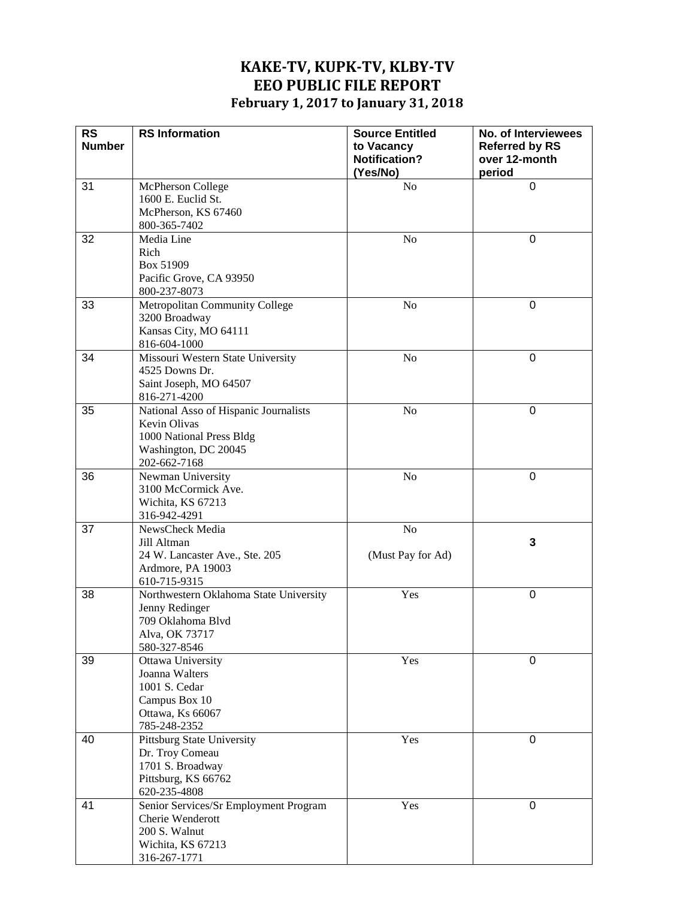| <b>RS</b><br><b>Number</b> | <b>RS</b> Information                                 | <b>Source Entitled</b><br>to Vacancy<br><b>Notification?</b> | <b>No. of Interviewees</b><br><b>Referred by RS</b><br>over 12-month |
|----------------------------|-------------------------------------------------------|--------------------------------------------------------------|----------------------------------------------------------------------|
|                            |                                                       | (Yes/No)                                                     | period                                                               |
| 31                         | McPherson College                                     | No                                                           | $\mathbf 0$                                                          |
|                            | 1600 E. Euclid St.                                    |                                                              |                                                                      |
|                            | McPherson, KS 67460                                   |                                                              |                                                                      |
| 32                         | 800-365-7402<br>Media Line                            | No                                                           | 0                                                                    |
|                            | Rich                                                  |                                                              |                                                                      |
|                            | Box 51909                                             |                                                              |                                                                      |
|                            | Pacific Grove, CA 93950                               |                                                              |                                                                      |
|                            | 800-237-8073                                          |                                                              |                                                                      |
| 33                         | Metropolitan Community College                        | N <sub>o</sub>                                               | $\mathbf 0$                                                          |
|                            | 3200 Broadway                                         |                                                              |                                                                      |
|                            | Kansas City, MO 64111                                 |                                                              |                                                                      |
|                            | 816-604-1000                                          |                                                              |                                                                      |
| 34                         | Missouri Western State University                     | N <sub>o</sub>                                               | $\mathbf 0$                                                          |
|                            | 4525 Downs Dr.                                        |                                                              |                                                                      |
|                            | Saint Joseph, MO 64507                                |                                                              |                                                                      |
| 35                         | 816-271-4200                                          | No                                                           | $\mathbf 0$                                                          |
|                            | National Asso of Hispanic Journalists<br>Kevin Olivas |                                                              |                                                                      |
|                            | 1000 National Press Bldg                              |                                                              |                                                                      |
|                            | Washington, DC 20045                                  |                                                              |                                                                      |
|                            | 202-662-7168                                          |                                                              |                                                                      |
| 36                         | Newman University                                     | No                                                           | $\mathbf 0$                                                          |
|                            | 3100 McCormick Ave.                                   |                                                              |                                                                      |
|                            | Wichita, KS 67213                                     |                                                              |                                                                      |
|                            | 316-942-4291                                          |                                                              |                                                                      |
| 37                         | NewsCheck Media                                       | No                                                           |                                                                      |
|                            | Jill Altman                                           |                                                              | 3                                                                    |
|                            | 24 W. Lancaster Ave., Ste. 205<br>Ardmore, PA 19003   | (Must Pay for Ad)                                            |                                                                      |
|                            | 610-715-9315                                          |                                                              |                                                                      |
| 38                         | Northwestern Oklahoma State University                | Yes                                                          | $\pmb{0}$                                                            |
|                            | Jenny Redinger                                        |                                                              |                                                                      |
|                            | 709 Oklahoma Blvd                                     |                                                              |                                                                      |
|                            | Alva, OK 73717                                        |                                                              |                                                                      |
|                            | 580-327-8546                                          |                                                              |                                                                      |
| 39                         | Ottawa University                                     | Yes                                                          | $\mathbf 0$                                                          |
|                            | Joanna Walters                                        |                                                              |                                                                      |
|                            | 1001 S. Cedar                                         |                                                              |                                                                      |
|                            | Campus Box 10<br>Ottawa, Ks 66067                     |                                                              |                                                                      |
|                            | 785-248-2352                                          |                                                              |                                                                      |
| 40                         | Pittsburg State University                            | Yes                                                          | $\pmb{0}$                                                            |
|                            | Dr. Troy Comeau                                       |                                                              |                                                                      |
|                            | 1701 S. Broadway                                      |                                                              |                                                                      |
|                            | Pittsburg, KS 66762                                   |                                                              |                                                                      |
|                            | 620-235-4808                                          |                                                              |                                                                      |
| 41                         | Senior Services/Sr Employment Program                 | Yes                                                          | $\mathbf 0$                                                          |
|                            | Cherie Wenderott                                      |                                                              |                                                                      |
|                            | 200 S. Walnut                                         |                                                              |                                                                      |
|                            | Wichita, KS 67213                                     |                                                              |                                                                      |
|                            | 316-267-1771                                          |                                                              |                                                                      |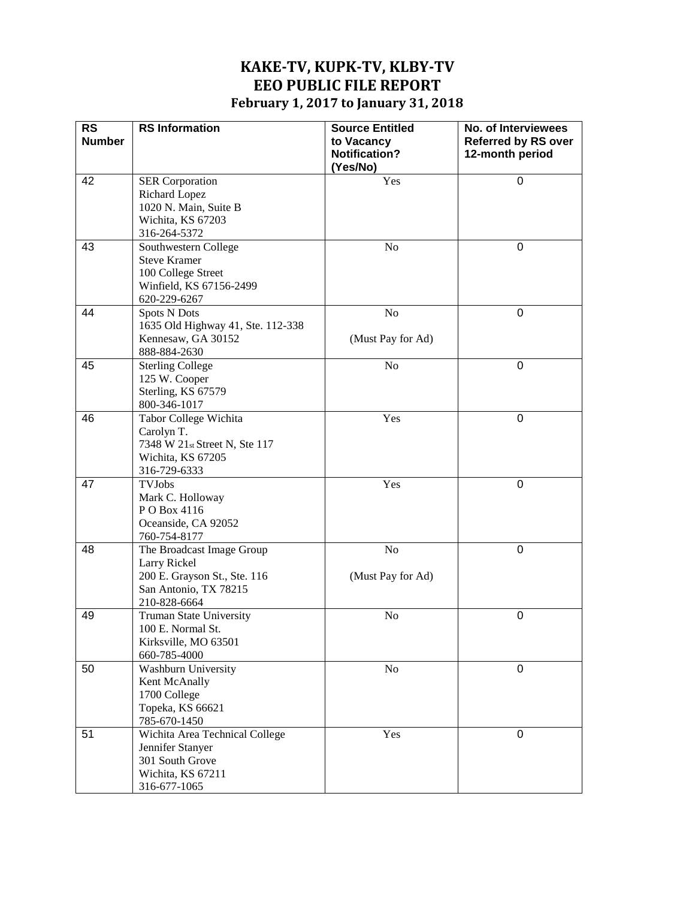| <b>RS</b>     | <b>RS</b> Information                                                                                                        | <b>Source Entitled</b>             | No. of Interviewees                           |
|---------------|------------------------------------------------------------------------------------------------------------------------------|------------------------------------|-----------------------------------------------|
| <b>Number</b> |                                                                                                                              | to Vacancy<br><b>Notification?</b> | <b>Referred by RS over</b><br>12-month period |
| 42            | <b>SER Corporation</b><br><b>Richard Lopez</b><br>1020 N. Main, Suite B<br>Wichita, KS 67203                                 | (Yes/No)<br>Yes                    | $\Omega$                                      |
| 43            | 316-264-5372<br>Southwestern College<br><b>Steve Kramer</b><br>100 College Street<br>Winfield, KS 67156-2499<br>620-229-6267 | No                                 | $\mathbf 0$                                   |
| 44            | Spots N Dots<br>1635 Old Highway 41, Ste. 112-338<br>Kennesaw, GA 30152<br>888-884-2630                                      | No<br>(Must Pay for Ad)            | $\overline{0}$                                |
| 45            | <b>Sterling College</b><br>125 W. Cooper<br>Sterling, KS 67579<br>800-346-1017                                               | No                                 | 0                                             |
| 46            | Tabor College Wichita<br>Carolyn T.<br>7348 W 21st Street N, Ste 117<br>Wichita, KS 67205<br>316-729-6333                    | Yes                                | $\mathbf 0$                                   |
| 47            | <b>TVJobs</b><br>Mark C. Holloway<br>PO Box 4116<br>Oceanside, CA 92052<br>760-754-8177                                      | Yes                                | $\mathbf 0$                                   |
| 48            | The Broadcast Image Group<br>Larry Rickel<br>200 E. Grayson St., Ste. 116<br>San Antonio, TX 78215<br>210-828-6664           | $\rm No$<br>(Must Pay for Ad)      | $\mathbf 0$                                   |
| 49            | Truman State University<br>100 E. Normal St.<br>Kirksville, MO 63501<br>660-785-4000                                         | No                                 | 0                                             |
| 50            | Washburn University<br>Kent McAnally<br>1700 College<br>Topeka, KS 66621<br>785-670-1450                                     | No                                 | $\Omega$                                      |
| 51            | Wichita Area Technical College<br>Jennifer Stanyer<br>301 South Grove<br>Wichita, KS 67211<br>316-677-1065                   | Yes                                | $\Omega$                                      |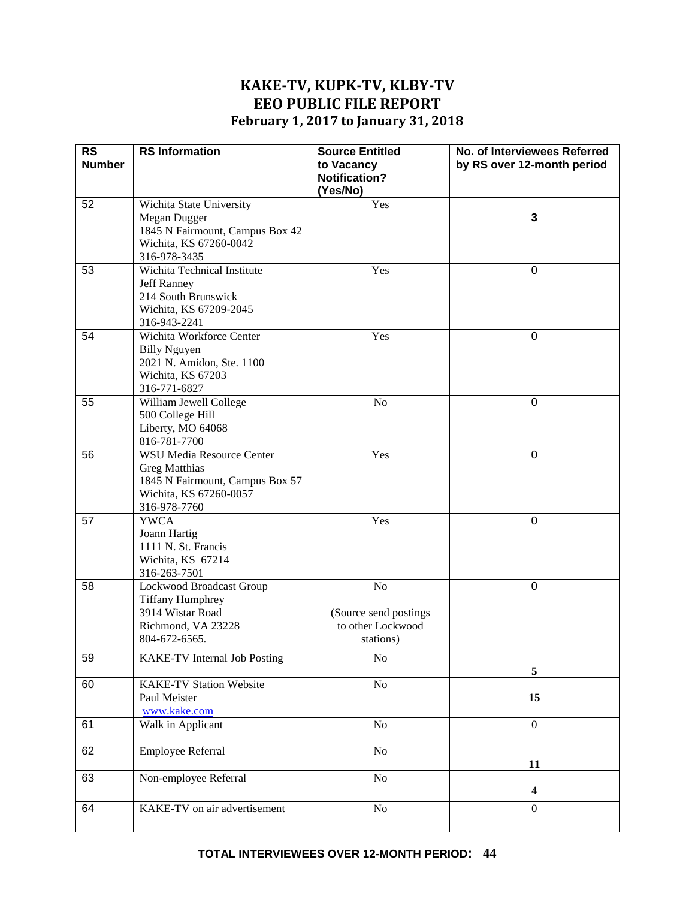| <b>RS</b><br><b>Number</b> | <b>RS</b> Information                                                                                                                 | <b>Source Entitled</b><br>to Vacancy                          | No. of Interviewees Referred<br>by RS over 12-month period |
|----------------------------|---------------------------------------------------------------------------------------------------------------------------------------|---------------------------------------------------------------|------------------------------------------------------------|
|                            |                                                                                                                                       | <b>Notification?</b><br>(Yes/No)                              |                                                            |
| 52                         | Wichita State University<br>Megan Dugger<br>1845 N Fairmount, Campus Box 42<br>Wichita, KS 67260-0042<br>316-978-3435                 | Yes                                                           | 3                                                          |
| 53                         | Wichita Technical Institute<br>Jeff Ranney<br>214 South Brunswick<br>Wichita, KS 67209-2045<br>316-943-2241                           | Yes                                                           | 0                                                          |
| 54                         | Wichita Workforce Center<br><b>Billy Nguyen</b><br>2021 N. Amidon, Ste. 1100<br>Wichita, KS 67203<br>316-771-6827                     | Yes                                                           | 0                                                          |
| 55                         | William Jewell College<br>500 College Hill<br>Liberty, MO 64068<br>816-781-7700                                                       | N <sub>o</sub>                                                | 0                                                          |
| 56                         | <b>WSU Media Resource Center</b><br><b>Greg Matthias</b><br>1845 N Fairmount, Campus Box 57<br>Wichita, KS 67260-0057<br>316-978-7760 | Yes                                                           | 0                                                          |
| 57                         | <b>YWCA</b><br>Joann Hartig<br>1111 N. St. Francis<br>Wichita, KS 67214<br>316-263-7501                                               | Yes                                                           | $\boldsymbol{0}$                                           |
| 58                         | Lockwood Broadcast Group<br><b>Tiffany Humphrey</b><br>3914 Wistar Road<br>Richmond, VA 23228<br>804-672-6565.                        | No<br>(Source send postings<br>to other Lockwood<br>stations) | 0                                                          |
| 59                         | <b>KAKE-TV Internal Job Posting</b>                                                                                                   | N <sub>0</sub>                                                | 5                                                          |
| 60                         | <b>KAKE-TV Station Website</b><br>Paul Meister<br>www.kake.com                                                                        | $\rm No$                                                      | 15                                                         |
| 61                         | Walk in Applicant                                                                                                                     | No                                                            | $\boldsymbol{0}$                                           |
| 62                         | <b>Employee Referral</b>                                                                                                              | No                                                            | 11                                                         |
| 63                         | Non-employee Referral                                                                                                                 | No                                                            | $\overline{\mathbf{4}}$                                    |
| 64                         | KAKE-TV on air advertisement                                                                                                          | $\rm No$                                                      | $\overline{0}$                                             |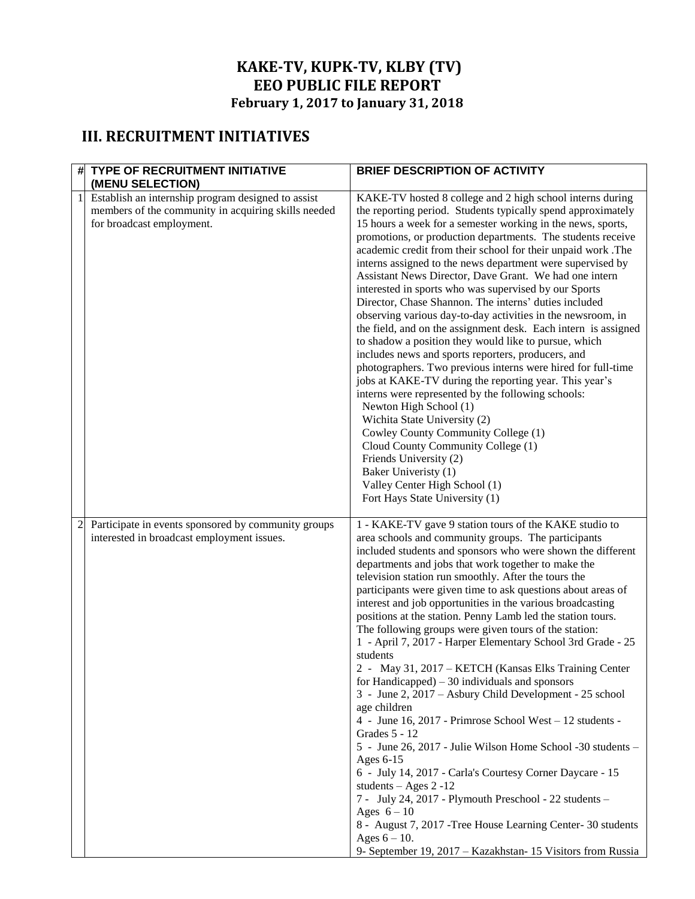# **III. RECRUITMENT INITIATIVES**

|                | <b>TYPE OF RECRUITMENT INITIATIVE</b>                                                                                                  | <b>BRIEF DESCRIPTION OF ACTIVITY</b>                                                                                                                                                                                                                                                                                                                                                                                                                                                                                                                                                                                                                                                                                                                                                                                                                                                                                                                                                                                                                                                                                                                                                                                                                                                            |
|----------------|----------------------------------------------------------------------------------------------------------------------------------------|-------------------------------------------------------------------------------------------------------------------------------------------------------------------------------------------------------------------------------------------------------------------------------------------------------------------------------------------------------------------------------------------------------------------------------------------------------------------------------------------------------------------------------------------------------------------------------------------------------------------------------------------------------------------------------------------------------------------------------------------------------------------------------------------------------------------------------------------------------------------------------------------------------------------------------------------------------------------------------------------------------------------------------------------------------------------------------------------------------------------------------------------------------------------------------------------------------------------------------------------------------------------------------------------------|
|                | (MENU SELECTION)                                                                                                                       |                                                                                                                                                                                                                                                                                                                                                                                                                                                                                                                                                                                                                                                                                                                                                                                                                                                                                                                                                                                                                                                                                                                                                                                                                                                                                                 |
|                | Establish an internship program designed to assist<br>members of the community in acquiring skills needed<br>for broadcast employment. | KAKE-TV hosted 8 college and 2 high school interns during<br>the reporting period. Students typically spend approximately<br>15 hours a week for a semester working in the news, sports,<br>promotions, or production departments. The students receive<br>academic credit from their school for their unpaid work .The<br>interns assigned to the news department were supervised by<br>Assistant News Director, Dave Grant. We had one intern<br>interested in sports who was supervised by our Sports<br>Director, Chase Shannon. The interns' duties included<br>observing various day-to-day activities in the newsroom, in<br>the field, and on the assignment desk. Each intern is assigned<br>to shadow a position they would like to pursue, which<br>includes news and sports reporters, producers, and<br>photographers. Two previous interns were hired for full-time<br>jobs at KAKE-TV during the reporting year. This year's<br>interns were represented by the following schools:<br>Newton High School (1)<br>Wichita State University (2)<br>Cowley County Community College (1)<br>Cloud County Community College (1)<br>Friends University (2)<br>Baker Univeristy (1)<br>Valley Center High School (1)<br>Fort Hays State University (1)                                   |
| $\overline{c}$ | Participate in events sponsored by community groups<br>interested in broadcast employment issues.                                      | 1 - KAKE-TV gave 9 station tours of the KAKE studio to<br>area schools and community groups. The participants<br>included students and sponsors who were shown the different<br>departments and jobs that work together to make the<br>television station run smoothly. After the tours the<br>participants were given time to ask questions about areas of<br>interest and job opportunities in the various broadcasting<br>positions at the station. Penny Lamb led the station tours.<br>The following groups were given tours of the station:<br>1 - April 7, 2017 - Harper Elementary School 3rd Grade - 25<br>students<br>2 - May 31, 2017 - KETCH (Kansas Elks Training Center<br>for Handicapped) $-30$ individuals and sponsors<br>3 - June 2, 2017 – Asbury Child Development - 25 school<br>age children<br>4 - June 16, 2017 - Primrose School West - 12 students -<br>Grades 5 - 12<br>5 - June 26, 2017 - Julie Wilson Home School -30 students -<br>Ages 6-15<br>6 - July 14, 2017 - Carla's Courtesy Corner Daycare - 15<br>students $-$ Ages 2 -12<br>7 - July 24, 2017 - Plymouth Preschool - 22 students -<br>Ages $6-10$<br>8 - August 7, 2017 - Tree House Learning Center - 30 students<br>Ages $6 - 10$ .<br>9- September 19, 2017 – Kazakhstan- 15 Visitors from Russia |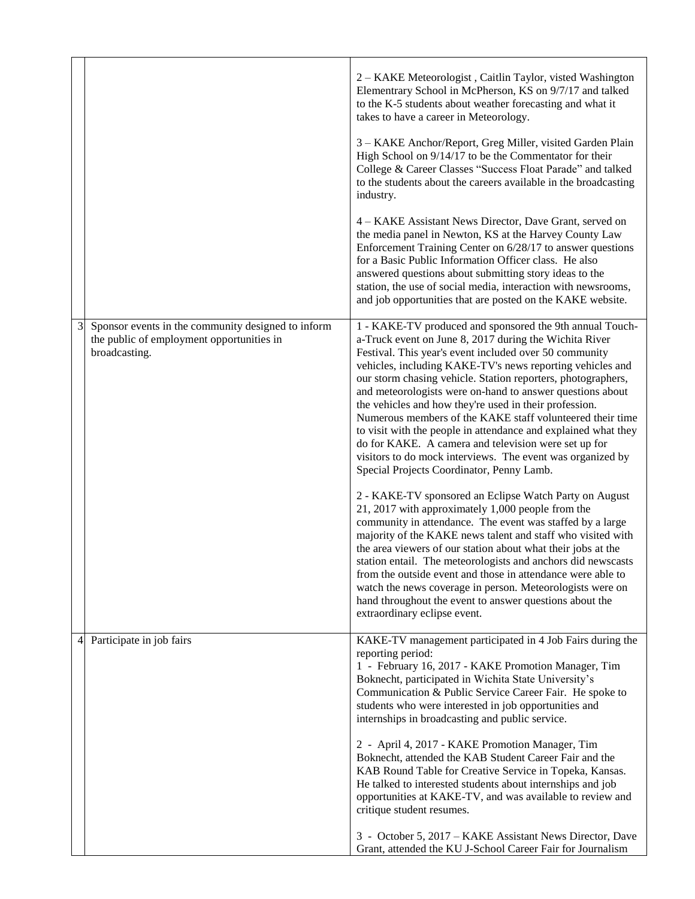|                |                                                                                                                  | 2 – KAKE Meteorologist, Caitlin Taylor, visted Washington<br>Elementrary School in McPherson, KS on 9/7/17 and talked<br>to the K-5 students about weather forecasting and what it<br>takes to have a career in Meteorology.<br>3 - KAKE Anchor/Report, Greg Miller, visited Garden Plain<br>High School on 9/14/17 to be the Commentator for their                                                                                                                                                                                                                                                                                                                                                                                |
|----------------|------------------------------------------------------------------------------------------------------------------|------------------------------------------------------------------------------------------------------------------------------------------------------------------------------------------------------------------------------------------------------------------------------------------------------------------------------------------------------------------------------------------------------------------------------------------------------------------------------------------------------------------------------------------------------------------------------------------------------------------------------------------------------------------------------------------------------------------------------------|
|                |                                                                                                                  | College & Career Classes "Success Float Parade" and talked<br>to the students about the careers available in the broadcasting<br>industry.                                                                                                                                                                                                                                                                                                                                                                                                                                                                                                                                                                                         |
|                |                                                                                                                  | 4 – KAKE Assistant News Director, Dave Grant, served on<br>the media panel in Newton, KS at the Harvey County Law<br>Enforcement Training Center on 6/28/17 to answer questions<br>for a Basic Public Information Officer class. He also<br>answered questions about submitting story ideas to the<br>station, the use of social media, interaction with newsrooms,<br>and job opportunities that are posted on the KAKE website.                                                                                                                                                                                                                                                                                                  |
| 3              | Sponsor events in the community designed to inform<br>the public of employment opportunities in<br>broadcasting. | 1 - KAKE-TV produced and sponsored the 9th annual Touch-<br>a-Truck event on June 8, 2017 during the Wichita River<br>Festival. This year's event included over 50 community<br>vehicles, including KAKE-TV's news reporting vehicles and<br>our storm chasing vehicle. Station reporters, photographers,<br>and meteorologists were on-hand to answer questions about<br>the vehicles and how they're used in their profession.<br>Numerous members of the KAKE staff volunteered their time<br>to visit with the people in attendance and explained what they<br>do for KAKE. A camera and television were set up for<br>visitors to do mock interviews. The event was organized by<br>Special Projects Coordinator, Penny Lamb. |
|                |                                                                                                                  | 2 - KAKE-TV sponsored an Eclipse Watch Party on August<br>21, 2017 with approximately 1,000 people from the<br>community in attendance. The event was staffed by a large<br>majority of the KAKE news talent and staff who visited with<br>the area viewers of our station about what their jobs at the<br>station entail. The meteorologists and anchors did newscasts<br>from the outside event and those in attendance were able to<br>watch the news coverage in person. Meteorologists were on<br>hand throughout the event to answer questions about the<br>extraordinary eclipse event.                                                                                                                                     |
| $\overline{4}$ | Participate in job fairs                                                                                         | KAKE-TV management participated in 4 Job Fairs during the<br>reporting period:<br>1 - February 16, 2017 - KAKE Promotion Manager, Tim<br>Boknecht, participated in Wichita State University's<br>Communication & Public Service Career Fair. He spoke to<br>students who were interested in job opportunities and<br>internships in broadcasting and public service.                                                                                                                                                                                                                                                                                                                                                               |
|                |                                                                                                                  | 2 - April 4, 2017 - KAKE Promotion Manager, Tim<br>Boknecht, attended the KAB Student Career Fair and the<br>KAB Round Table for Creative Service in Topeka, Kansas.<br>He talked to interested students about internships and job<br>opportunities at KAKE-TV, and was available to review and<br>critique student resumes.                                                                                                                                                                                                                                                                                                                                                                                                       |
|                |                                                                                                                  | 3 - October 5, 2017 – KAKE Assistant News Director, Dave<br>Grant, attended the KU J-School Career Fair for Journalism                                                                                                                                                                                                                                                                                                                                                                                                                                                                                                                                                                                                             |